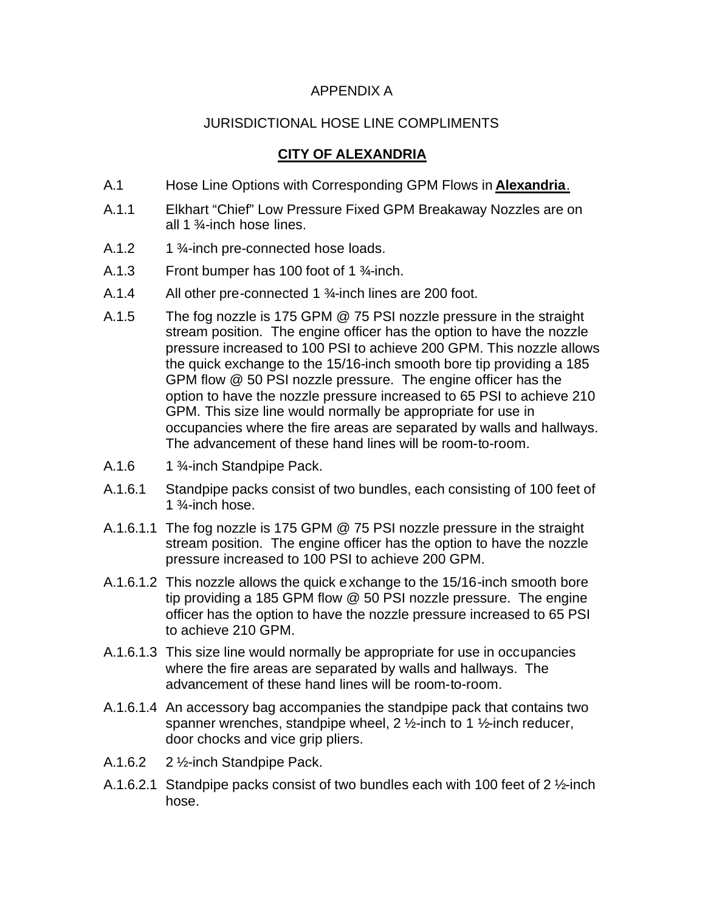## APPENDIX A

## JURISDICTIONAL HOSE LINE COMPLIMENTS

## **CITY OF ALEXANDRIA**

- A.1 Hose Line Options with Corresponding GPM Flows in **Alexandria**.
- A.1.1 Elkhart "Chief" Low Pressure Fixed GPM Breakaway Nozzles are on all 1 ¾-inch hose lines.
- A.1.2  $1\frac{3}{4}$ -inch pre-connected hose loads.
- A.1.3 Front bumper has 100 foot of 1 ¾-inch.
- A.1.4 All other pre-connected 1 ¾-inch lines are 200 foot.
- A.1.5 The fog nozzle is 175 GPM @ 75 PSI nozzle pressure in the straight stream position. The engine officer has the option to have the nozzle pressure increased to 100 PSI to achieve 200 GPM. This nozzle allows the quick exchange to the 15/16-inch smooth bore tip providing a 185 GPM flow @ 50 PSI nozzle pressure. The engine officer has the option to have the nozzle pressure increased to 65 PSI to achieve 210 GPM. This size line would normally be appropriate for use in occupancies where the fire areas are separated by walls and hallways. The advancement of these hand lines will be room-to-room.
- A.1.6 1 <sup>3</sup>/<sub>4</sub>-inch Standpipe Pack.
- A.1.6.1 Standpipe packs consist of two bundles, each consisting of 100 feet of 1 $<sup>3</sup>$ -inch hose.</sup>
- A.1.6.1.1 The fog nozzle is 175 GPM @ 75 PSI nozzle pressure in the straight stream position. The engine officer has the option to have the nozzle pressure increased to 100 PSI to achieve 200 GPM.
- A.1.6.1.2 This nozzle allows the quick exchange to the 15/16-inch smooth bore tip providing a 185 GPM flow @ 50 PSI nozzle pressure. The engine officer has the option to have the nozzle pressure increased to 65 PSI to achieve 210 GPM.
- A.1.6.1.3 This size line would normally be appropriate for use in occupancies where the fire areas are separated by walls and hallways. The advancement of these hand lines will be room-to-room.
- A.1.6.1.4 An accessory bag accompanies the standpipe pack that contains two spanner wrenches, standpipe wheel,  $2 \frac{1}{2}$ -inch to 1  $\frac{1}{2}$ -inch reducer, door chocks and vice grip pliers.
- A.1.6.2 2 ½-inch Standpipe Pack.
- A.1.6.2.1 Standpipe packs consist of two bundles each with 100 feet of 2 ½-inch hose.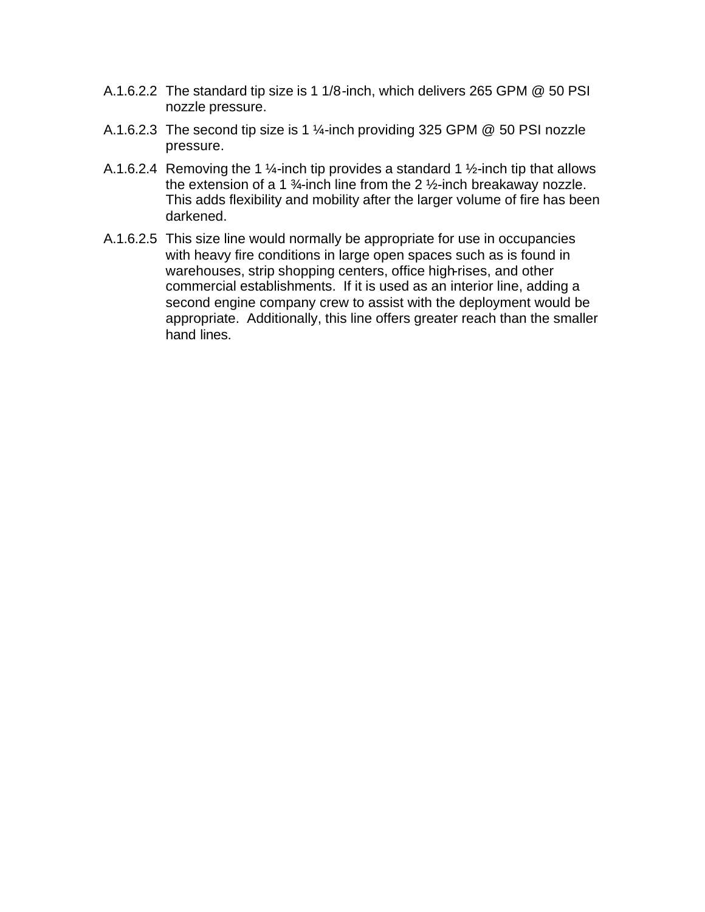- A.1.6.2.2 The standard tip size is 1 1/8-inch, which delivers 265 GPM @ 50 PSI nozzle pressure.
- A.1.6.2.3 The second tip size is 1 ¼-inch providing 325 GPM @ 50 PSI nozzle pressure.
- A.1.6.2.4 Removing the 1  $\frac{1}{4}$ -inch tip provides a standard 1  $\frac{1}{2}$ -inch tip that allows the extension of a 1  $\frac{3}{4}$ -inch line from the 2  $\frac{1}{2}$ -inch breakaway nozzle. This adds flexibility and mobility after the larger volume of fire has been darkened.
- A.1.6.2.5 This size line would normally be appropriate for use in occupancies with heavy fire conditions in large open spaces such as is found in warehouses, strip shopping centers, office high-rises, and other commercial establishments. If it is used as an interior line, adding a second engine company crew to assist with the deployment would be appropriate. Additionally, this line offers greater reach than the smaller hand lines.